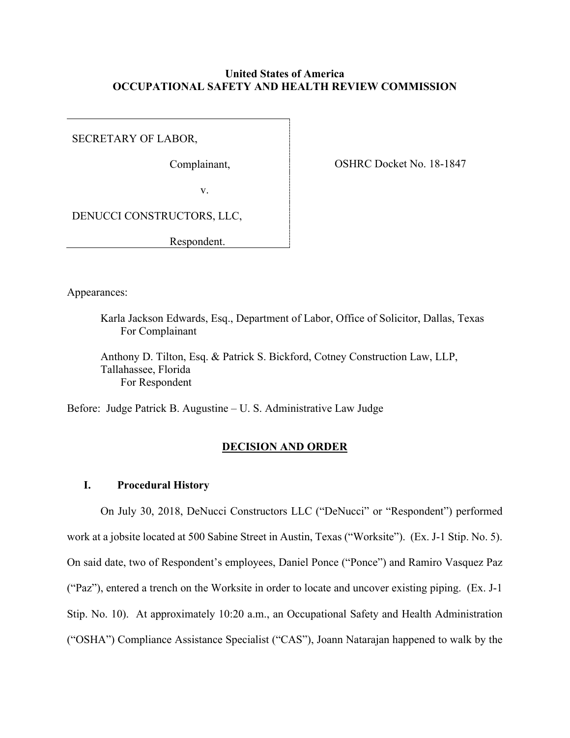## **United States of America OCCUPATIONAL SAFETY AND HEALTH REVIEW COMMISSION**

SECRETARY OF LABOR,

Complainant,

OSHRC Docket No. 18-1847

v.

DENUCCI CONSTRUCTORS, LLC,

Respondent.

Appearances:

Karla Jackson Edwards, Esq., Department of Labor, Office of Solicitor, Dallas, Texas For Complainant

Anthony D. Tilton, Esq. & Patrick S. Bickford, Cotney Construction Law, LLP, Tallahassee, Florida For Respondent

Before: Judge Patrick B. Augustine – U. S. Administrative Law Judge

### **DECISION AND ORDER**

### **I. Procedural History**

On July 30, 2018, DeNucci Constructors LLC ("DeNucci" or "Respondent") performed work at a jobsite located at 500 Sabine Street in Austin, Texas ("Worksite"). (Ex. J-1 Stip. No. 5). On said date, two of Respondent's employees, Daniel Ponce ("Ponce") and Ramiro Vasquez Paz ("Paz"), entered a trench on the Worksite in order to locate and uncover existing piping. (Ex. J-1 Stip. No. 10). At approximately 10:20 a.m., an Occupational Safety and Health Administration ("OSHA") Compliance Assistance Specialist ("CAS"), Joann Natarajan happened to walk by the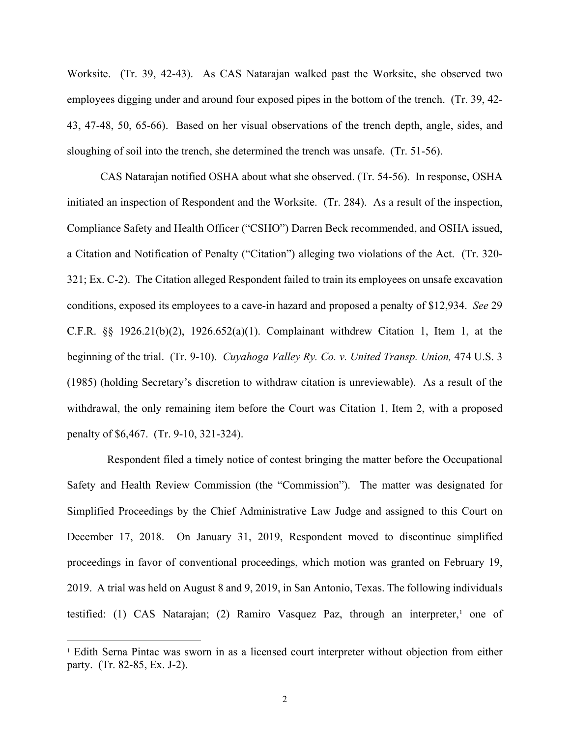Worksite. (Tr. 39, 42-43). As CAS Natarajan walked past the Worksite, she observed two employees digging under and around four exposed pipes in the bottom of the trench. (Tr. 39, 42- 43, 47-48, 50, 65-66). Based on her visual observations of the trench depth, angle, sides, and sloughing of soil into the trench, she determined the trench was unsafe. (Tr. 51-56).

CAS Natarajan notified OSHA about what she observed. (Tr. 54-56). In response, OSHA initiated an inspection of Respondent and the Worksite. (Tr. 284). As a result of the inspection, Compliance Safety and Health Officer ("CSHO") Darren Beck recommended, and OSHA issued, a Citation and Notification of Penalty ("Citation") alleging two violations of the Act. (Tr. 320- 321; Ex. C-2). The Citation alleged Respondent failed to train its employees on unsafe excavation conditions, exposed its employees to a cave-in hazard and proposed a penalty of \$12,934. *See* 29 C.F.R. §§ 1926.21(b)(2), 1926.652(a)(1). Complainant withdrew Citation 1, Item 1, at the beginning of the trial. (Tr. 9-10). *Cuyahoga Valley Ry. Co. v. United Transp. Union*, 474 U.S. 3 (1985) (holding Secretary's discretion to withdraw citation is unreviewable). As a result of the withdrawal, the only remaining item before the Court was Citation 1, Item 2, with a proposed penalty of \$6,467. (Tr. 9-10, 321-324).

Respondent filed a timely notice of contest bringing the matter before the Occupational Safety and Health Review Commission (the "Commission"). The matter was designated for Simplified Proceedings by the Chief Administrative Law Judge and assigned to this Court on December 17, 2018. On January 31, 2019, Respondent moved to discontinue simplified proceedings in favor of conventional proceedings, which motion was granted on February 19, 2019. A trial was held on August 8 and 9, 2019, in San Antonio, Texas. The following individuals testified: ([1](#page-1-0)) CAS Natarajan; (2) Ramiro Vasquez Paz, through an interpreter,<sup>1</sup> one of

<span id="page-1-0"></span><sup>1</sup> Edith Serna Pintac was sworn in as a licensed court interpreter without objection from either party. (Tr. 82-85, Ex. J-2).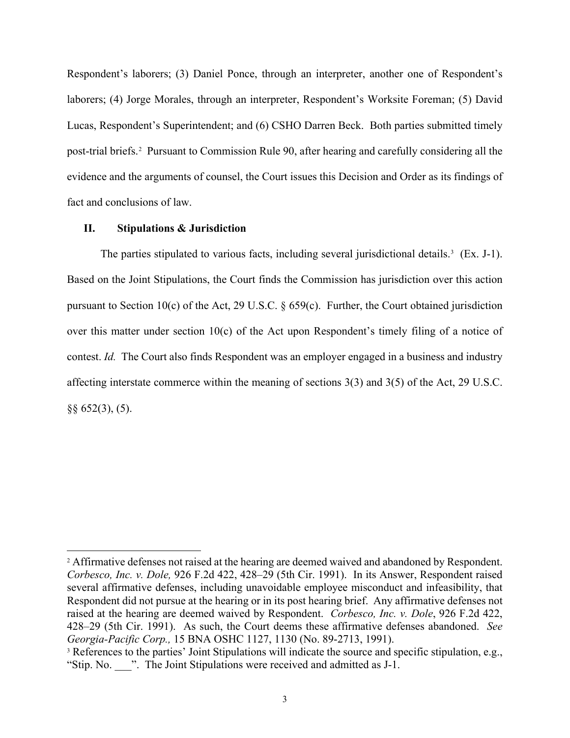Respondent's laborers; (3) Daniel Ponce, through an interpreter, another one of Respondent's laborers; (4) Jorge Morales, through an interpreter, Respondent's Worksite Foreman; (5) David Lucas, Respondent's Superintendent; and (6) CSHO Darren Beck. Both parties submitted timely post-trial briefs.[2](#page-2-0) Pursuant to Commission Rule 90, after hearing and carefully considering all the evidence and the arguments of counsel, the Court issues this Decision and Order as its findings of fact and conclusions of law.

## **II. Stipulations & Jurisdiction**

The parties stipulated to various facts, including several jurisdictional details.<sup>[3](#page-2-1)</sup> (Ex. J-1). Based on the Joint Stipulations, the Court finds the Commission has jurisdiction over this action pursuant to Section 10(c) of the Act, 29 U.S.C. § 659(c). Further, the Court obtained jurisdiction over this matter under section 10(c) of the Act upon Respondent's timely filing of a notice of contest. *Id.* The Court also finds Respondent was an employer engaged in a business and industry affecting interstate commerce within the meaning of sections 3(3) and 3(5) of the Act, 29 U.S.C. §§ 652(3), (5).

<span id="page-2-0"></span><sup>&</sup>lt;sup>2</sup> Affirmative defenses not raised at the hearing are deemed waived and abandoned by Respondent. *Corbesco, Inc. v. Dole,* 926 F.2d 422, 428–29 (5th Cir. 1991). In its Answer, Respondent raised several affirmative defenses, including unavoidable employee misconduct and infeasibility, that Respondent did not pursue at the hearing or in its post hearing brief. Any affirmative defenses not raised at the hearing are deemed waived by Respondent. *Corbesco, Inc. v. Dole*, 926 F.2d 422, 428–29 (5th Cir. 1991). As such, the Court deems these affirmative defenses abandoned. *See Georgia-Pacific Corp.,* 15 BNA OSHC 1127, 1130 (No. 89-2713, 1991).

<span id="page-2-1"></span><sup>&</sup>lt;sup>3</sup> References to the parties' Joint Stipulations will indicate the source and specific stipulation, e.g., "Stip. No. \_\_\_". The Joint Stipulations were received and admitted as J-1.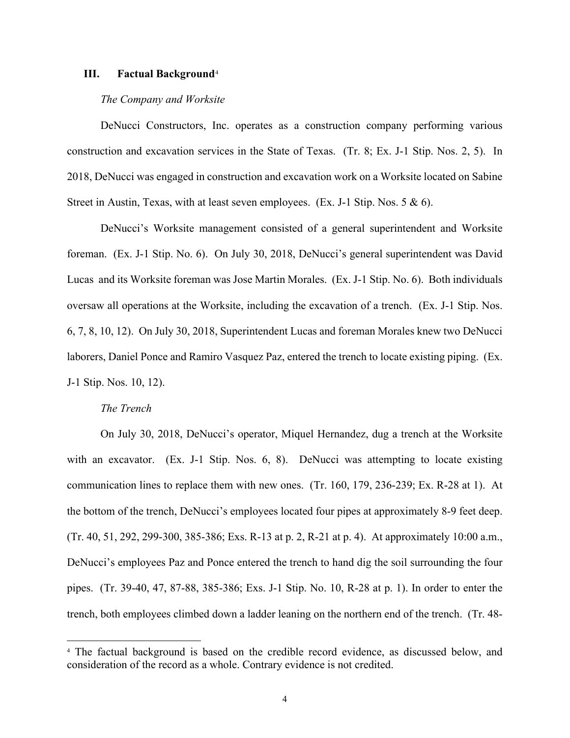### **III. Factual Background**[4](#page-3-0)

### *The Company and Worksite*

DeNucci Constructors, Inc. operates as a construction company performing various construction and excavation services in the State of Texas. (Tr. 8; Ex. J-1 Stip. Nos. 2, 5). In 2018, DeNucci was engaged in construction and excavation work on a Worksite located on Sabine Street in Austin, Texas, with at least seven employees. (Ex. J-1 Stip. Nos.  $5 \& 6$ ).

DeNucci's Worksite management consisted of a general superintendent and Worksite foreman. (Ex. J-1 Stip. No. 6). On July 30, 2018, DeNucci's general superintendent was David Lucas and its Worksite foreman was Jose Martin Morales. (Ex. J-1 Stip. No. 6). Both individuals oversaw all operations at the Worksite, including the excavation of a trench. (Ex. J-1 Stip. Nos. 6, 7, 8, 10, 12). On July 30, 2018, Superintendent Lucas and foreman Morales knew two DeNucci laborers, Daniel Ponce and Ramiro Vasquez Paz, entered the trench to locate existing piping. (Ex. J-1 Stip. Nos. 10, 12).

### *The Trench*

On July 30, 2018, DeNucci's operator, Miquel Hernandez, dug a trench at the Worksite with an excavator. (Ex. J-1 Stip. Nos. 6, 8). DeNucci was attempting to locate existing communication lines to replace them with new ones. (Tr. 160, 179, 236-239; Ex. R-28 at 1). At the bottom of the trench, DeNucci's employees located four pipes at approximately 8-9 feet deep. (Tr. 40, 51, 292, 299-300, 385-386; Exs. R-13 at p. 2, R-21 at p. 4). At approximately 10:00 a.m., DeNucci's employees Paz and Ponce entered the trench to hand dig the soil surrounding the four pipes. (Tr. 39-40, 47, 87-88, 385-386; Exs. J-1 Stip. No. 10, R-28 at p. 1). In order to enter the trench, both employees climbed down a ladder leaning on the northern end of the trench. (Tr. 48-

<span id="page-3-0"></span><sup>4</sup> The factual background is based on the credible record evidence, as discussed below, and consideration of the record as a whole. Contrary evidence is not credited.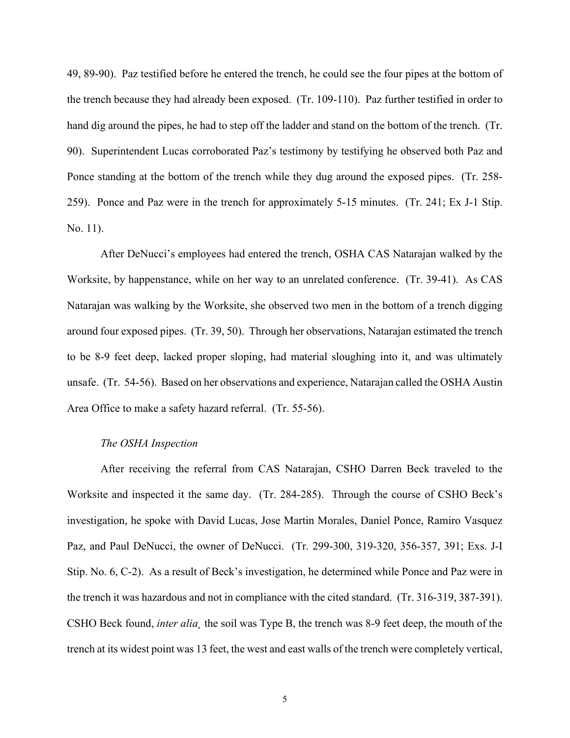49, 89-90). Paz testified before he entered the trench, he could see the four pipes at the bottom of the trench because they had already been exposed. (Tr. 109-110). Paz further testified in order to hand dig around the pipes, he had to step off the ladder and stand on the bottom of the trench. (Tr. 90). Superintendent Lucas corroborated Paz's testimony by testifying he observed both Paz and Ponce standing at the bottom of the trench while they dug around the exposed pipes. (Tr. 258- 259). Ponce and Paz were in the trench for approximately 5-15 minutes. (Tr. 241; Ex J-1 Stip. No. 11).

After DeNucci's employees had entered the trench, OSHA CAS Natarajan walked by the Worksite, by happenstance, while on her way to an unrelated conference. (Tr. 39-41). As CAS Natarajan was walking by the Worksite, she observed two men in the bottom of a trench digging around four exposed pipes. (Tr. 39, 50). Through her observations, Natarajan estimated the trench to be 8-9 feet deep, lacked proper sloping, had material sloughing into it, and was ultimately unsafe. (Tr. 54-56). Based on her observations and experience, Natarajan called the OSHA Austin Area Office to make a safety hazard referral. (Tr. 55-56).

### *The OSHA Inspection*

After receiving the referral from CAS Natarajan, CSHO Darren Beck traveled to the Worksite and inspected it the same day. (Tr. 284-285). Through the course of CSHO Beck's investigation, he spoke with David Lucas, Jose Martin Morales, Daniel Ponce, Ramiro Vasquez Paz, and Paul DeNucci, the owner of DeNucci. (Tr. 299-300, 319-320, 356-357, 391; Exs. J-I Stip. No. 6, C-2). As a result of Beck's investigation, he determined while Ponce and Paz were in the trench it was hazardous and not in compliance with the cited standard. (Tr. 316-319, 387-391). CSHO Beck found, *inter alia¸* the soil was Type B, the trench was 8-9 feet deep, the mouth of the trench at its widest point was 13 feet, the west and east walls of the trench were completely vertical,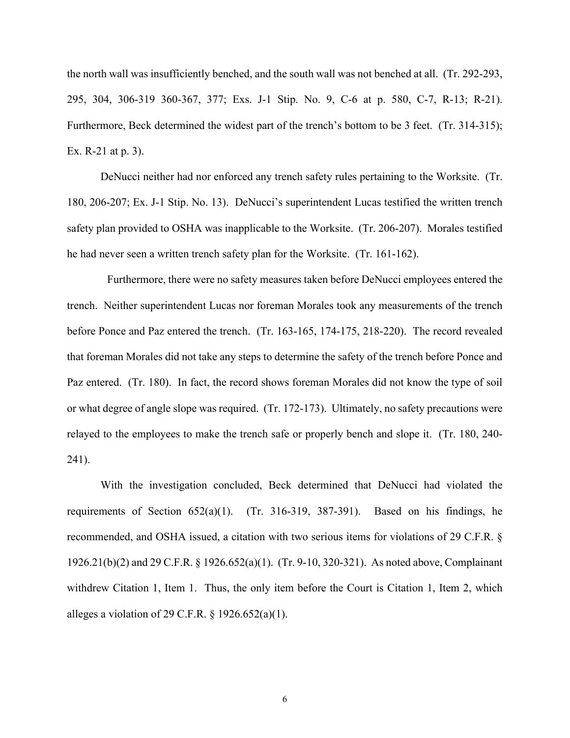the north wall was insufficiently benched, and the south wall was not benched at all. (Tr. 292-293, 295, 304, 306-319 360-367, 377; Exs. J-1 Stip. No. 9, C-6 at p. 580, C-7, R-13; R-21). Furthermore, Beck determined the widest part of the trench's bottom to be 3 feet. (Tr. 314-315); Ex. R-21 at p. 3).

DeNucci neither had nor enforced any trench safety rules pertaining to the Worksite. (Tr. 180, 206-207; Ex. J-1 Stip. No. 13). DeNucci's superintendent Lucas testified the written trench safety plan provided to OSHA was inapplicable to the Worksite. (Tr. 206-207). Morales testified he had never seen a written trench safety plan for the Worksite. (Tr. 161-162).

Furthermore, there were no safety measures taken before DeNucci employees entered the trench. Neither superintendent Lucas nor foreman Morales took any measurements of the trench before Ponce and Paz entered the trench. (Tr. 163-165, 174-175, 218-220). The record revealed that foreman Morales did not take any steps to determine the safety of the trench before Ponce and Paz entered. (Tr. 180). In fact, the record shows foreman Morales did not know the type of soil or what degree of angle slope was required. (Tr. 172-173). Ultimately, no safety precautions were relayed to the employees to make the trench safe or properly bench and slope it. (Tr. 180, 240- 241).

With the investigation concluded, Beck determined that DeNucci had violated the requirements of Section  $652(a)(1)$ . (Tr. 316-319, 387-391). Based on his findings, he recommended, and OSHA issued, a citation with two serious items for violations of 29 C.F.R. § 1926.21(b)(2) and 29 C.F.R. § 1926.652(a)(1). (Tr. 9-10, 320-321). As noted above, Complainant withdrew Citation 1, Item 1. Thus, the only item before the Court is Citation 1, Item 2, which alleges a violation of 29 C.F.R.  $\S$  1926.652(a)(1).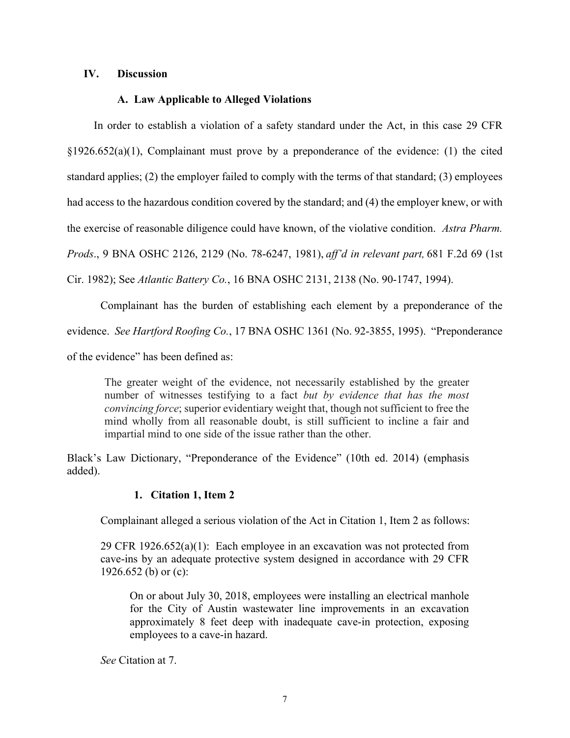## **IV. Discussion**

# **A. Law Applicable to Alleged Violations**

 In order to establish a violation of a safety standard under the Act, in this case 29 CFR §1926.652(a)(1), Complainant must prove by a preponderance of the evidence: (1) the cited standard applies; (2) the employer failed to comply with the terms of that standard; (3) employees had access to the hazardous condition covered by the standard; and (4) the employer knew, or with the exercise of reasonable diligence could have known, of the violative condition. *Astra Pharm. Prods*., 9 BNA OSHC 2126, 2129 (No. 78-6247, 1981), *aff'd in relevant part,* 681 F.2d 69 (1st Cir. 1982); See *Atlantic Battery Co.*, 16 BNA OSHC 2131, 2138 (No. 90-1747, 1994).

Complainant has the burden of establishing each element by a preponderance of the evidence. *See Hartford Roofing Co.*, 17 BNA OSHC 1361 (No. 92-3855, 1995). "Preponderance of the evidence" has been defined as:

The greater weight of the evidence, not necessarily established by the greater number of witnesses testifying to a fact *but by evidence that has the most convincing force*; superior evidentiary weight that, though not sufficient to free the mind wholly from all reasonable doubt, is still sufficient to incline a fair and impartial mind to one side of the issue rather than the other.

Black's Law Dictionary, "Preponderance of the Evidence" (10th ed. 2014) (emphasis added).

# **1. Citation 1, Item 2**

Complainant alleged a serious violation of the Act in Citation 1, Item 2 as follows:

29 CFR  $1926.652(a)(1)$ : Each employee in an excavation was not protected from cave-ins by an adequate protective system designed in accordance with 29 CFR 1926.652 (b) or (c):

 On or about July 30, 2018, employees were installing an electrical manhole for the City of Austin wastewater line improvements in an excavation approximately 8 feet deep with inadequate cave-in protection, exposing employees to a cave-in hazard.

*See* Citation at 7.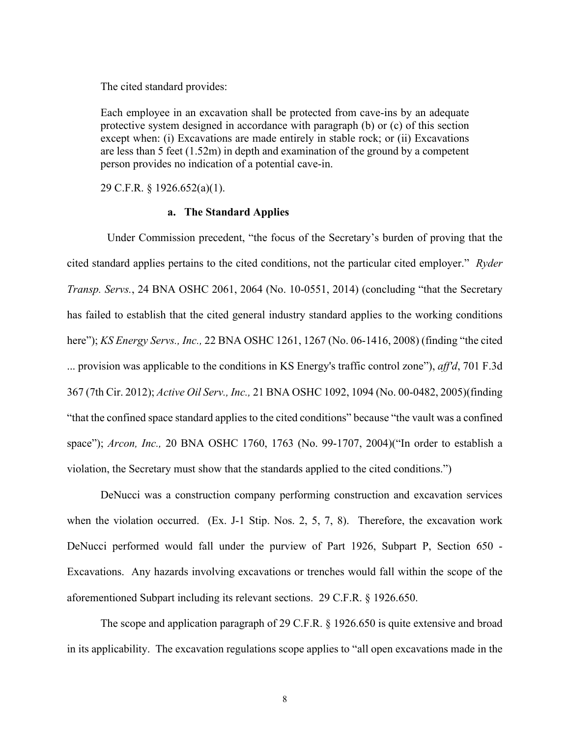The cited standard provides:

Each employee in an excavation shall be protected from cave-ins by an adequate protective system designed in accordance with paragraph (b) or (c) of this section except when: (i) Excavations are made entirely in stable rock; or (ii) Excavations are less than 5 feet (1.52m) in depth and examination of the ground by a competent person provides no indication of a potential cave-in.

29 C.F.R. § 1926.652(a)(1).

## **a. The Standard Applies**

Under Commission precedent, "the focus of the Secretary's burden of proving that the cited standard applies pertains to the cited conditions, not the particular cited employer." *Ryder Transp. Servs.*, 24 BNA OSHC 2061, 2064 (No. 10-0551, 2014) (concluding "that the Secretary has failed to establish that the cited general industry standard applies to the working conditions here"); *KS Energy Servs., Inc.,* 22 BNA OSHC 1261, 1267 (No. 06-1416, 2008) (finding "the cited ... provision was applicable to the conditions in KS Energy's traffic control zone"), *aff'd*, 701 F.3d 367 (7th Cir. 2012); *Active Oil Serv., Inc.,* 21 BNA OSHC 1092, 1094 (No. 00-0482, 2005)(finding "that the confined space standard applies to the cited conditions" because "the vault was a confined space"); *Arcon, Inc.,* 20 BNA OSHC 1760, 1763 (No. 99-1707, 2004)("In order to establish a violation, the Secretary must show that the standards applied to the cited conditions.")

DeNucci was a construction company performing construction and excavation services when the violation occurred. (Ex. J-1 Stip. Nos. 2, 5, 7, 8). Therefore, the excavation work DeNucci performed would fall under the purview of Part 1926, Subpart P, Section 650 - Excavations. Any hazards involving excavations or trenches would fall within the scope of the aforementioned Subpart including its relevant sections. 29 C.F.R. § 1926.650.

The scope and application paragraph of 29 C.F.R. § 1926.650 is quite extensive and broad in its applicability. The excavation regulations scope applies to "all open excavations made in the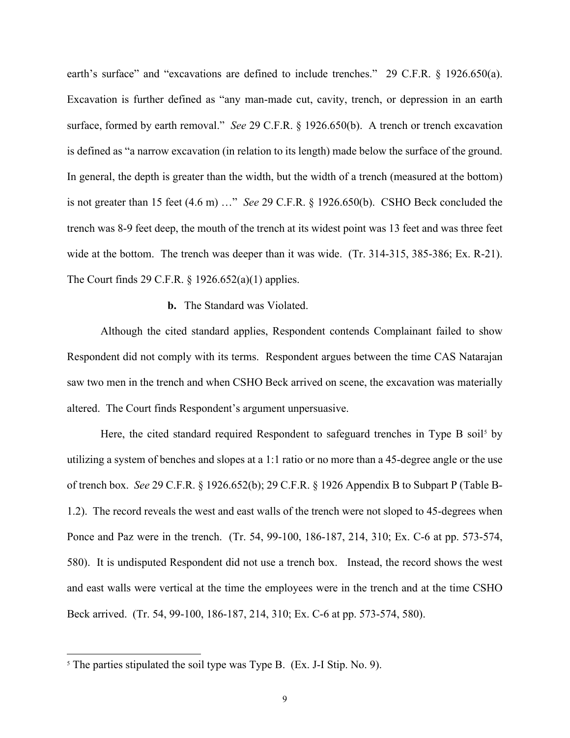earth's surface" and "excavations are defined to include trenches." 29 C.F.R. § 1926.650(a). Excavation is further defined as "any man-made cut, cavity, trench, or depression in an earth surface, formed by earth removal." *See* 29 C.F.R. § 1926.650(b). A trench or trench excavation is defined as "a narrow excavation (in relation to its length) made below the surface of the ground. In general, the depth is greater than the width, but the width of a trench (measured at the bottom) is not greater than 15 feet (4.6 m) …" *See* 29 C.F.R. § 1926.650(b). CSHO Beck concluded the trench was 8-9 feet deep, the mouth of the trench at its widest point was 13 feet and was three feet wide at the bottom. The trench was deeper than it was wide. (Tr. 314-315, 385-386; Ex. R-21). The Court finds 29 C.F.R. § 1926.652(a)(1) applies.

### **b.** The Standard was Violated.

Although the cited standard applies, Respondent contends Complainant failed to show Respondent did not comply with its terms. Respondent argues between the time CAS Natarajan saw two men in the trench and when CSHO Beck arrived on scene, the excavation was materially altered. The Court finds Respondent's argument unpersuasive.

Here, the cited standard required Respondent to safeguard trenches in Type B soil<sup>[5](#page-8-0)</sup> by utilizing a system of benches and slopes at a 1:1 ratio or no more than a 45-degree angle or the use of trench box. *See* 29 C.F.R. § 1926.652(b); 29 C.F.R. § 1926 Appendix B to Subpart P (Table B-1.2). The record reveals the west and east walls of the trench were not sloped to 45-degrees when Ponce and Paz were in the trench. (Tr. 54, 99-100, 186-187, 214, 310; Ex. C-6 at pp. 573-574, 580). It is undisputed Respondent did not use a trench box. Instead, the record shows the west and east walls were vertical at the time the employees were in the trench and at the time CSHO Beck arrived. (Tr. 54, 99-100, 186-187, 214, 310; Ex. C-6 at pp. 573-574, 580).

<span id="page-8-0"></span><sup>&</sup>lt;sup>5</sup> The parties stipulated the soil type was Type B. (Ex. J-I Stip. No. 9).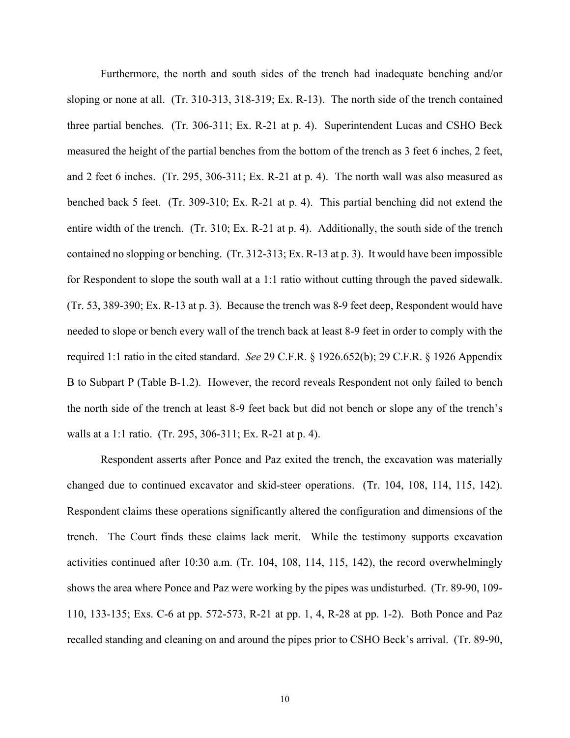Furthermore, the north and south sides of the trench had inadequate benching and/or sloping or none at all. (Tr. 310-313, 318-319; Ex. R-13). The north side of the trench contained three partial benches. (Tr. 306-311; Ex. R-21 at p. 4). Superintendent Lucas and CSHO Beck measured the height of the partial benches from the bottom of the trench as 3 feet 6 inches, 2 feet, and 2 feet 6 inches. (Tr. 295, 306-311; Ex. R-21 at p. 4). The north wall was also measured as benched back 5 feet. (Tr. 309-310; Ex. R-21 at p. 4). This partial benching did not extend the entire width of the trench. (Tr. 310; Ex. R-21 at p. 4). Additionally, the south side of the trench contained no slopping or benching. (Tr. 312-313; Ex. R-13 at p. 3). It would have been impossible for Respondent to slope the south wall at a 1:1 ratio without cutting through the paved sidewalk. (Tr. 53, 389-390; Ex. R-13 at p. 3). Because the trench was 8-9 feet deep, Respondent would have needed to slope or bench every wall of the trench back at least 8-9 feet in order to comply with the required 1:1 ratio in the cited standard. *See* 29 C.F.R. § 1926.652(b); 29 C.F.R. § 1926 Appendix B to Subpart P (Table B-1.2). However, the record reveals Respondent not only failed to bench the north side of the trench at least 8-9 feet back but did not bench or slope any of the trench's walls at a 1:1 ratio. (Tr. 295, 306-311; Ex. R-21 at p. 4).

Respondent asserts after Ponce and Paz exited the trench, the excavation was materially changed due to continued excavator and skid-steer operations. (Tr. 104, 108, 114, 115, 142). Respondent claims these operations significantly altered the configuration and dimensions of the trench. The Court finds these claims lack merit. While the testimony supports excavation activities continued after 10:30 a.m. (Tr. 104, 108, 114, 115, 142), the record overwhelmingly shows the area where Ponce and Paz were working by the pipes was undisturbed. (Tr. 89-90, 109- 110, 133-135; Exs. C-6 at pp. 572-573, R-21 at pp. 1, 4, R-28 at pp. 1-2). Both Ponce and Paz recalled standing and cleaning on and around the pipes prior to CSHO Beck's arrival. (Tr. 89-90,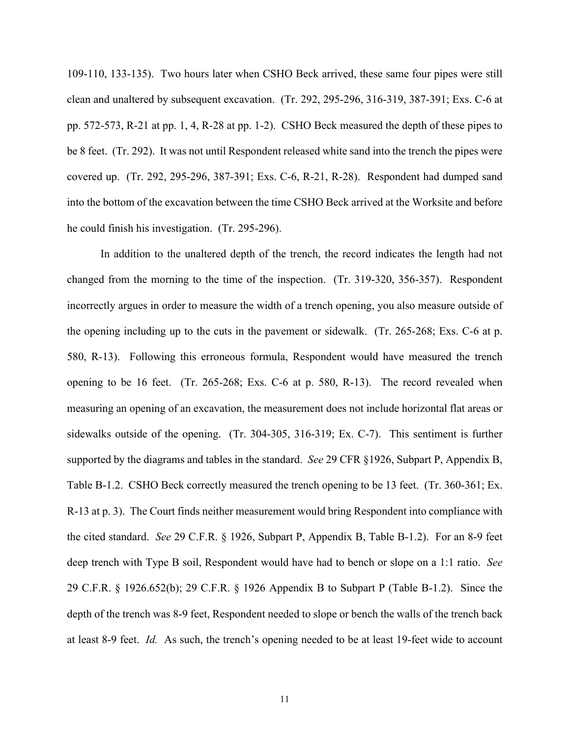109-110, 133-135). Two hours later when CSHO Beck arrived, these same four pipes were still clean and unaltered by subsequent excavation. (Tr. 292, 295-296, 316-319, 387-391; Exs. C-6 at pp. 572-573, R-21 at pp. 1, 4, R-28 at pp. 1-2). CSHO Beck measured the depth of these pipes to be 8 feet. (Tr. 292). It was not until Respondent released white sand into the trench the pipes were covered up. (Tr. 292, 295-296, 387-391; Exs. C-6, R-21, R-28). Respondent had dumped sand into the bottom of the excavation between the time CSHO Beck arrived at the Worksite and before he could finish his investigation. (Tr. 295-296).

In addition to the unaltered depth of the trench, the record indicates the length had not changed from the morning to the time of the inspection. (Tr. 319-320, 356-357). Respondent incorrectly argues in order to measure the width of a trench opening, you also measure outside of the opening including up to the cuts in the pavement or sidewalk. (Tr. 265-268; Exs. C-6 at p. 580, R-13). Following this erroneous formula, Respondent would have measured the trench opening to be 16 feet. (Tr. 265-268; Exs. C-6 at p. 580, R-13). The record revealed when measuring an opening of an excavation, the measurement does not include horizontal flat areas or sidewalks outside of the opening. (Tr. 304-305, 316-319; Ex. C-7). This sentiment is further supported by the diagrams and tables in the standard. *See* 29 CFR §1926, Subpart P, Appendix B, Table B-1.2. CSHO Beck correctly measured the trench opening to be 13 feet. (Tr. 360-361; Ex. R-13 at p. 3). The Court finds neither measurement would bring Respondent into compliance with the cited standard. *See* 29 C.F.R. § 1926, Subpart P, Appendix B, Table B-1.2). For an 8-9 feet deep trench with Type B soil, Respondent would have had to bench or slope on a 1:1 ratio. *See* 29 C.F.R. § 1926.652(b); 29 C.F.R. § 1926 Appendix B to Subpart P (Table B-1.2). Since the depth of the trench was 8-9 feet, Respondent needed to slope or bench the walls of the trench back at least 8-9 feet. *Id.* As such, the trench's opening needed to be at least 19-feet wide to account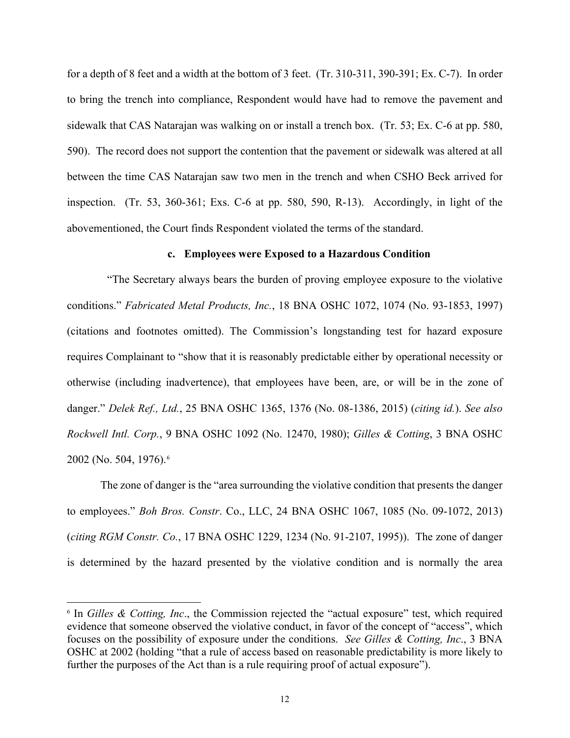for a depth of 8 feet and a width at the bottom of 3 feet. (Tr. 310-311, 390-391; Ex. C-7). In order to bring the trench into compliance, Respondent would have had to remove the pavement and sidewalk that CAS Natarajan was walking on or install a trench box. (Tr. 53; Ex. C-6 at pp. 580, 590). The record does not support the contention that the pavement or sidewalk was altered at all between the time CAS Natarajan saw two men in the trench and when CSHO Beck arrived for inspection. (Tr. 53, 360-361; Exs. C-6 at pp. 580, 590, R-13). Accordingly, in light of the abovementioned, the Court finds Respondent violated the terms of the standard.

### **c. Employees were Exposed to a Hazardous Condition**

 "The Secretary always bears the burden of proving employee exposure to the violative conditions." *Fabricated Metal Products, Inc.*, 18 BNA OSHC 1072, 1074 (No. 93-1853, 1997) (citations and footnotes omitted). The Commission's longstanding test for hazard exposure requires Complainant to "show that it is reasonably predictable either by operational necessity or otherwise (including inadvertence), that employees have been, are, or will be in the zone of danger." *Delek Ref., Ltd.*, 25 BNA OSHC 1365, 1376 (No. 08-1386, 2015) (*citing id.*). *See also Rockwell Intl. Corp.*, 9 BNA OSHC 1092 (No. 12470, 1980); *Gilles & Cotting*, 3 BNA OSHC 2002 (No. 504, 1976).[6](#page-11-0)

The zone of danger is the "area surrounding the violative condition that presents the danger to employees." *Boh Bros. Constr*. Co., LLC, 24 BNA OSHC 1067, 1085 (No. 09-1072, 2013) (*citing RGM Constr. Co.*, 17 BNA OSHC 1229, 1234 (No. 91-2107, 1995)). The zone of danger is determined by the hazard presented by the violative condition and is normally the area

<span id="page-11-0"></span><sup>&</sup>lt;sup>6</sup> In *Gilles & Cotting, Inc.*, the Commission rejected the "actual exposure" test, which required evidence that someone observed the violative conduct, in favor of the concept of "access", which focuses on the possibility of exposure under the conditions. *See Gilles & Cotting, Inc*., 3 BNA OSHC at 2002 (holding "that a rule of access based on reasonable predictability is more likely to further the purposes of the Act than is a rule requiring proof of actual exposure").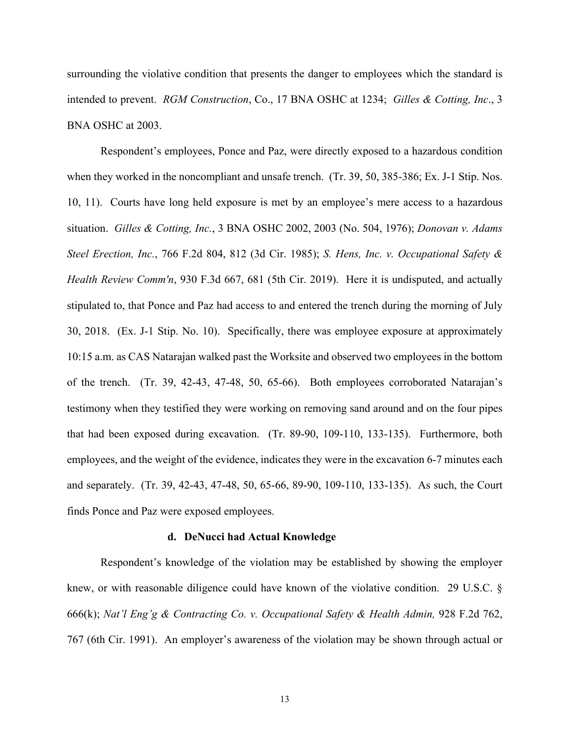surrounding the violative condition that presents the danger to employees which the standard is intended to prevent. *RGM Construction*, Co., 17 BNA OSHC at 1234; *Gilles & Cotting, Inc*., 3 BNA OSHC at 2003.

Respondent's employees, Ponce and Paz, were directly exposed to a hazardous condition when they worked in the noncompliant and unsafe trench. (Tr. 39, 50, 385-386; Ex. J-1 Stip. Nos. 10, 11). Courts have long held exposure is met by an employee's mere access to a hazardous situation. *Gilles & Cotting, Inc.*, 3 BNA OSHC 2002, 2003 (No. 504, 1976); *Donovan v. Adams Steel Erection, Inc.*, 766 F.2d 804, 812 (3d Cir. 1985); *S. Hens, Inc. v. Occupational Safety & Health Review Comm'n*, 930 F.3d 667, 681 (5th Cir. 2019). Here it is undisputed, and actually stipulated to, that Ponce and Paz had access to and entered the trench during the morning of July 30, 2018. (Ex. J-1 Stip. No. 10). Specifically, there was employee exposure at approximately 10:15 a.m. as CAS Natarajan walked past the Worksite and observed two employees in the bottom of the trench. (Tr. 39, 42-43, 47-48, 50, 65-66). Both employees corroborated Natarajan's testimony when they testified they were working on removing sand around and on the four pipes that had been exposed during excavation. (Tr. 89-90, 109-110, 133-135). Furthermore, both employees, and the weight of the evidence, indicates they were in the excavation 6-7 minutes each and separately. (Tr. 39, 42-43, 47-48, 50, 65-66, 89-90, 109-110, 133-135). As such, the Court finds Ponce and Paz were exposed employees.

#### **d. DeNucci had Actual Knowledge**

Respondent's knowledge of the violation may be established by showing the employer knew, or with reasonable diligence could have known of the violative condition. 29 U.S.C. § 666(k); *Nat'l Eng'g & Contracting Co. v. Occupational Safety & Health Admin,* 928 F.2d 762, 767 (6th Cir. 1991). An employer's awareness of the violation may be shown through actual or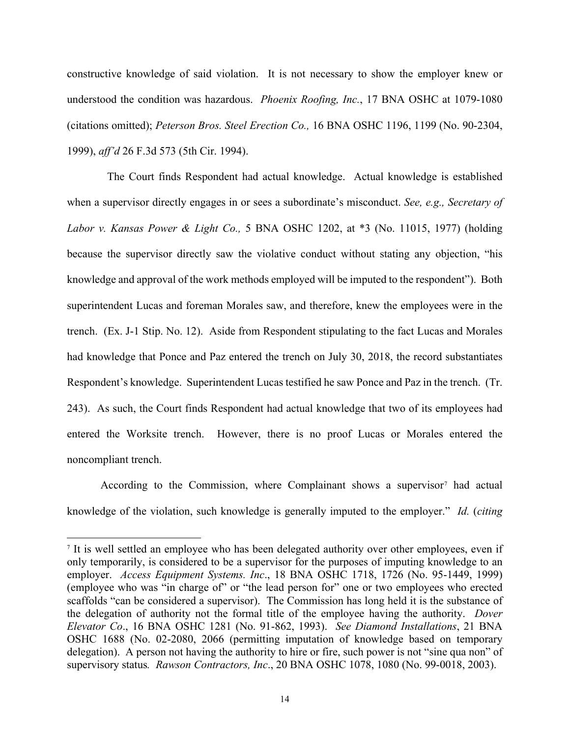constructive knowledge of said violation. It is not necessary to show the employer knew or understood the condition was hazardous. *Phoenix Roofing, Inc.*, 17 BNA OSHC at 1079-1080 (citations omitted); *Peterson Bros. Steel Erection Co.,* 16 BNA OSHC 1196, 1199 (No. 90-2304, 1999), *aff'd* 26 F.3d 573 (5th Cir. 1994).

The Court finds Respondent had actual knowledge. Actual knowledge is established when a supervisor directly engages in or sees a subordinate's misconduct. *See, e.g., Secretary of Labor v. Kansas Power & Light Co.,* 5 BNA OSHC 1202, at \*3 (No. 11015, 1977) (holding because the supervisor directly saw the violative conduct without stating any objection, "his knowledge and approval of the work methods employed will be imputed to the respondent"). Both superintendent Lucas and foreman Morales saw, and therefore, knew the employees were in the trench. (Ex. J-1 Stip. No. 12). Aside from Respondent stipulating to the fact Lucas and Morales had knowledge that Ponce and Paz entered the trench on July 30, 2018, the record substantiates Respondent's knowledge. Superintendent Lucas testified he saw Ponce and Paz in the trench. (Tr. 243). As such, the Court finds Respondent had actual knowledge that two of its employees had entered the Worksite trench. However, there is no proof Lucas or Morales entered the noncompliant trench.

According to the Commission, where Complainant shows a supervisor<sup>[7](#page-13-0)</sup> had actual knowledge of the violation, such knowledge is generally imputed to the employer." *Id.* (*citing* 

<span id="page-13-0"></span><sup>7</sup> It is well settled an employee who has been delegated authority over other employees, even if only temporarily, is considered to be a supervisor for the purposes of imputing knowledge to an employer. *Access Equipment Systems. Inc*., 18 BNA OSHC 1718, 1726 (No. 95-1449, 1999) (employee who was "in charge of" or "the lead person for" one or two employees who erected scaffolds "can be considered a supervisor). The Commission has long held it is the substance of the delegation of authority not the formal title of the employee having the authority. *Dover Elevator Co*., 16 BNA OSHC 1281 (No. 91-862, 1993). *See Diamond Installations*, 21 BNA OSHC 1688 (No. 02-2080, 2066 (permitting imputation of knowledge based on temporary delegation). A person not having the authority to hire or fire, such power is not "sine qua non" of supervisory status*. Rawson Contractors, Inc*., 20 BNA OSHC 1078, 1080 (No. 99-0018, 2003).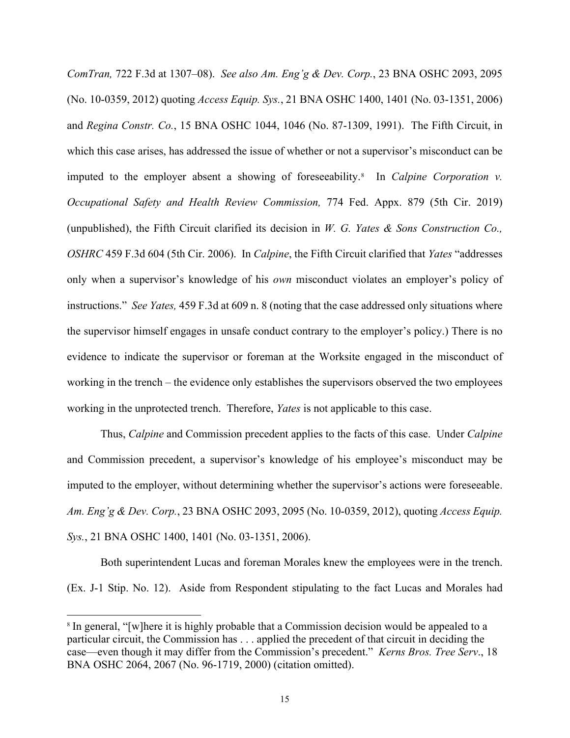*ComTran,* 722 F.3d at 1307–08). *See also Am. Eng'g & Dev. Corp.*, 23 BNA OSHC 2093, 2095 (No. 10-0359, 2012) quoting *Access Equip. Sys.*, 21 BNA OSHC 1400, 1401 (No. 03-1351, 2006) and *Regina Constr. Co.*, 15 BNA OSHC 1044, 1046 (No. 87-1309, 1991). The Fifth Circuit, in which this case arises, has addressed the issue of whether or not a supervisor's misconduct can be imputed to the employer absent a showing of foreseeability.<sup>[8](#page-14-0)</sup> In *Calpine Corporation v. Occupational Safety and Health Review Commission,* 774 Fed. Appx. 879 (5th Cir. 2019) (unpublished), the Fifth Circuit clarified its decision in *W. G. Yates & Sons Construction Co., OSHRC* 459 F.3d 604 (5th Cir. 2006). In *Calpine*, the Fifth Circuit clarified that *Yates* "addresses only when a supervisor's knowledge of his *own* misconduct violates an employer's policy of instructions." *See Yates,* 459 F.3d at 609 n. 8 (noting that the case addressed only situations where the supervisor himself engages in unsafe conduct contrary to the employer's policy.) There is no evidence to indicate the supervisor or foreman at the Worksite engaged in the misconduct of working in the trench – the evidence only establishes the supervisors observed the two employees working in the unprotected trench. Therefore, *Yates* is not applicable to this case.

Thus, *Calpine* and Commission precedent applies to the facts of this case. Under *Calpine* and Commission precedent, a supervisor's knowledge of his employee's misconduct may be imputed to the employer, without determining whether the supervisor's actions were foreseeable. *Am. Eng'g & Dev. Corp.*, 23 BNA OSHC 2093, 2095 (No. 10-0359, 2012), quoting *Access Equip. Sys.*, 21 BNA OSHC 1400, 1401 (No. 03-1351, 2006).

Both superintendent Lucas and foreman Morales knew the employees were in the trench. (Ex. J-1 Stip. No. 12). Aside from Respondent stipulating to the fact Lucas and Morales had

<span id="page-14-0"></span><sup>&</sup>lt;sup>8</sup> In general, "[w]here it is highly probable that a Commission decision would be appealed to a particular circuit, the Commission has . . . applied the precedent of that circuit in deciding the case—even though it may differ from the Commission's precedent." *Kerns Bros. Tree Serv*., 18 BNA OSHC 2064, 2067 (No. 96-1719, 2000) (citation omitted).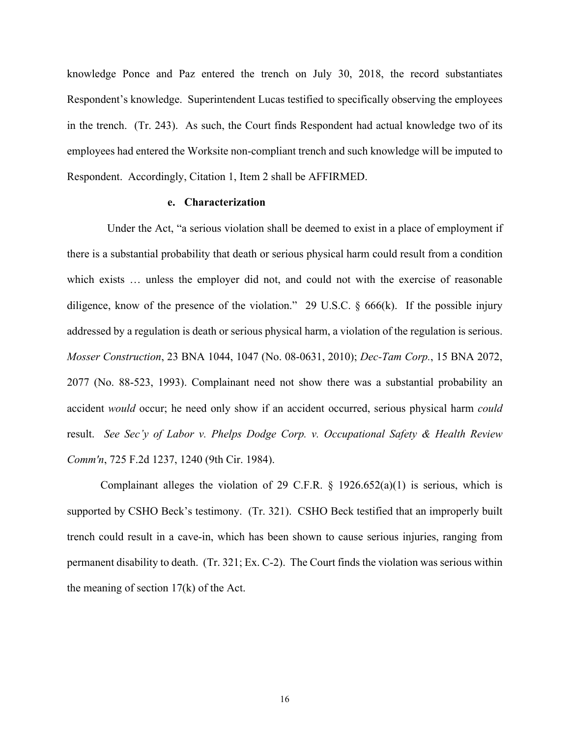knowledge Ponce and Paz entered the trench on July 30, 2018, the record substantiates Respondent's knowledge. Superintendent Lucas testified to specifically observing the employees in the trench. (Tr. 243). As such, the Court finds Respondent had actual knowledge two of its employees had entered the Worksite non-compliant trench and such knowledge will be imputed to Respondent. Accordingly, Citation 1, Item 2 shall be AFFIRMED.

## **e. Characterization**

Under the Act, "a serious violation shall be deemed to exist in a place of employment if there is a substantial probability that death or serious physical harm could result from a condition which exists ... unless the employer did not, and could not with the exercise of reasonable diligence, know of the presence of the violation." 29 U.S.C.  $\S$  666(k). If the possible injury addressed by a regulation is death or serious physical harm, a violation of the regulation is serious. *Mosser Construction*, 23 BNA 1044, 1047 (No. 08-0631, 2010); *Dec-Tam Corp.*, 15 BNA 2072, 2077 (No. 88-523, 1993). Complainant need not show there was a substantial probability an accident *would* occur; he need only show if an accident occurred, serious physical harm *could*  result. *See Sec'y of Labor v. Phelps Dodge Corp. v. Occupational Safety & Health Review Comm'n*, 725 F.2d 1237, 1240 (9th Cir. 1984).

Complainant alleges the violation of 29 C.F.R.  $\S$  1926.652(a)(1) is serious, which is supported by CSHO Beck's testimony. (Tr. 321). CSHO Beck testified that an improperly built trench could result in a cave-in, which has been shown to cause serious injuries, ranging from permanent disability to death. (Tr. 321; Ex. C-2). The Court finds the violation was serious within the meaning of section 17(k) of the Act.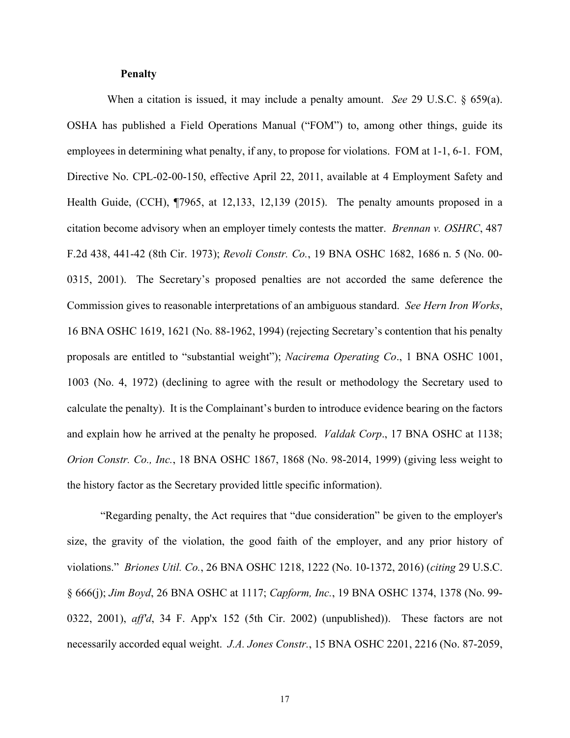### **Penalty**

When a citation is issued, it may include a penalty amount. *See* 29 U.S.C. § 659(a). OSHA has published a Field Operations Manual ("FOM") to, among other things, guide its employees in determining what penalty, if any, to propose for violations. FOM at 1-1, 6-1. FOM, Directive No. CPL-02-00-150, effective April 22, 2011, available at 4 Employment Safety and Health Guide, (CCH), ¶7965, at 12,133, 12,139 (2015). The penalty amounts proposed in a citation become advisory when an employer timely contests the matter. *Brennan v. OSHRC*, 487 F.2d 438, 441-42 (8th Cir. 1973); *Revoli Constr. Co.*, 19 BNA OSHC 1682, 1686 n. 5 (No. 00- 0315, 2001). The Secretary's proposed penalties are not accorded the same deference the Commission gives to reasonable interpretations of an ambiguous standard. *See Hern Iron Works*, 16 BNA OSHC 1619, 1621 (No. 88-1962, 1994) (rejecting Secretary's contention that his penalty proposals are entitled to "substantial weight"); *Nacirema Operating Co*., 1 BNA OSHC 1001, 1003 (No. 4, 1972) (declining to agree with the result or methodology the Secretary used to calculate the penalty). It is the Complainant's burden to introduce evidence bearing on the factors and explain how he arrived at the penalty he proposed. *Valdak Corp*., 17 BNA OSHC at 1138; *Orion Constr. Co., Inc.*, 18 BNA OSHC 1867, 1868 (No. 98-2014, 1999) (giving less weight to the history factor as the Secretary provided little specific information).

"Regarding penalty, the Act requires that "due consideration" be given to the employer's size, the gravity of the violation, the good faith of the employer, and any prior history of violations." *Briones Util. Co.*, 26 BNA OSHC 1218, 1222 (No. 10-1372, 2016) (*citing* 29 U.S.C. § 666(j); *Jim Boyd*, 26 BNA OSHC at 1117; *Capform, Inc.*, 19 BNA OSHC 1374, 1378 (No. 99- 0322, 2001), *aff'd*, 34 F. App'x 152 (5th Cir. 2002) (unpublished)). These factors are not necessarily accorded equal weight. *J.A. Jones Constr.*, 15 BNA OSHC 2201, 2216 (No. 87-2059,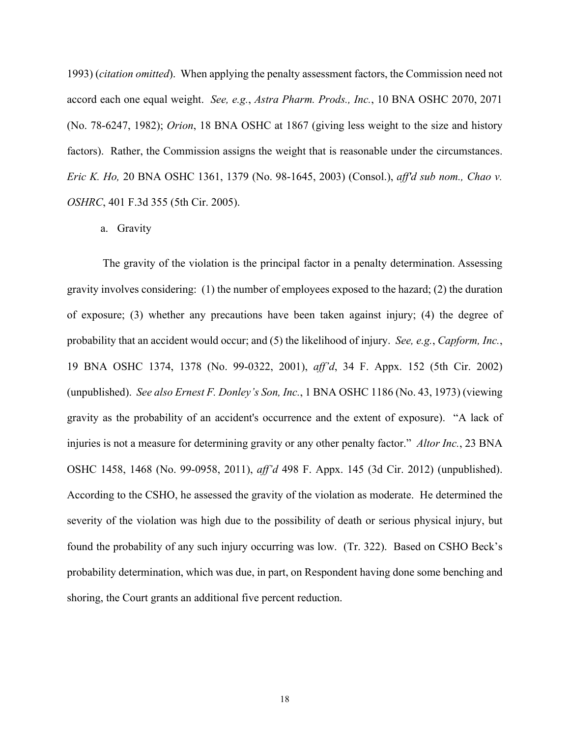1993) (*citation omitted*). When applying the penalty assessment factors, the Commission need not accord each one equal weight. *See, e.g.*, *Astra Pharm. Prods., Inc.*, 10 BNA OSHC 2070, 2071 (No. 78-6247, 1982); *Orion*, 18 BNA OSHC at 1867 (giving less weight to the size and history factors). Rather, the Commission assigns the weight that is reasonable under the circumstances. *Eric K. Ho,* 20 BNA OSHC 1361, 1379 (No. 98-1645, 2003) (Consol.), *aff'd sub nom., Chao v. OSHRC*, 401 F.3d 355 (5th Cir. 2005).

a. Gravity

The gravity of the violation is the principal factor in a penalty determination. Assessing gravity involves considering: (1) the number of employees exposed to the hazard; (2) the duration of exposure; (3) whether any precautions have been taken against injury; (4) the degree of probability that an accident would occur; and (5) the likelihood of injury. *See, e.g.*, *Capform, Inc.*, 19 BNA OSHC 1374, 1378 (No. 99-0322, 2001), *aff'd*, 34 F. Appx. 152 (5th Cir. 2002) (unpublished). *See also Ernest F. Donley's Son, Inc.*, 1 BNA OSHC 1186 (No. 43, 1973) (viewing gravity as the probability of an accident's occurrence and the extent of exposure). "A lack of injuries is not a measure for determining gravity or any other penalty factor." *Altor Inc.*, 23 BNA OSHC 1458, 1468 (No. 99-0958, 2011), *aff'd* 498 F. Appx. 145 (3d Cir. 2012) (unpublished). According to the CSHO, he assessed the gravity of the violation as moderate. He determined the severity of the violation was high due to the possibility of death or serious physical injury, but found the probability of any such injury occurring was low. (Tr. 322). Based on CSHO Beck's probability determination, which was due, in part, on Respondent having done some benching and shoring, the Court grants an additional five percent reduction.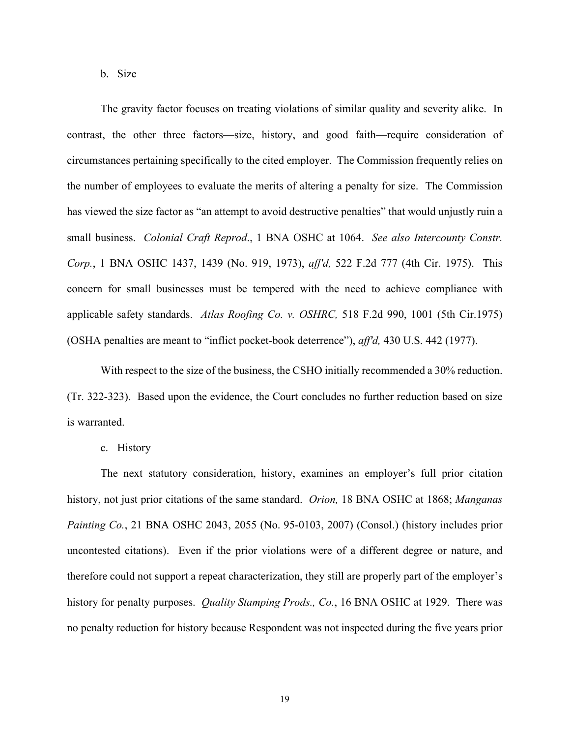b. Size

The gravity factor focuses on treating violations of similar quality and severity alike. In contrast, the other three factors—size, history, and good faith—require consideration of circumstances pertaining specifically to the cited employer. The Commission frequently relies on the number of employees to evaluate the merits of altering a penalty for size. The Commission has viewed the size factor as "an attempt to avoid destructive penalties" that would unjustly ruin a small business. *Colonial Craft Reprod*., 1 BNA OSHC at 1064. *See also Intercounty Constr. Corp.*, 1 BNA OSHC 1437, 1439 (No. 919, 1973), *aff'd,* 522 F.2d 777 (4th Cir. 1975). This concern for small businesses must be tempered with the need to achieve compliance with applicable safety standards. *Atlas Roofing Co. v. OSHRC,* 518 F.2d 990, 1001 (5th Cir.1975) (OSHA penalties are meant to "inflict pocket-book deterrence"), *aff'd,* 430 U.S. 442 (1977).

With respect to the size of the business, the CSHO initially recommended a 30% reduction. (Tr. 322-323). Based upon the evidence, the Court concludes no further reduction based on size is warranted.

c. History

The next statutory consideration, history, examines an employer's full prior citation history, not just prior citations of the same standard. *Orion,* 18 BNA OSHC at 1868; *Manganas Painting Co.*, 21 BNA OSHC 2043, 2055 (No. 95-0103, 2007) (Consol.) (history includes prior uncontested citations). Even if the prior violations were of a different degree or nature, and therefore could not support a repeat characterization, they still are properly part of the employer's history for penalty purposes. *Quality Stamping Prods., Co.*, 16 BNA OSHC at 1929. There was no penalty reduction for history because Respondent was not inspected during the five years prior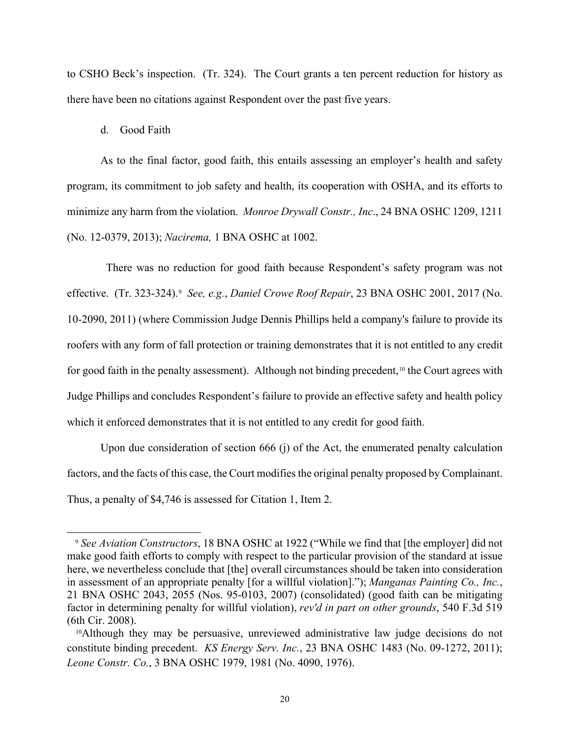to CSHO Beck's inspection. (Tr. 324). The Court grants a ten percent reduction for history as there have been no citations against Respondent over the past five years.

## d. Good Faith

As to the final factor, good faith, this entails assessing an employer's health and safety program, its commitment to job safety and health, its cooperation with OSHA, and its efforts to minimize any harm from the violation. *Monroe Drywall Constr., Inc*., 24 BNA OSHC 1209, 1211 (No. 12-0379, 2013); *Nacirema,* 1 BNA OSHC at 1002.

 There was no reduction for good faith because Respondent's safety program was not effective. (Tr. 323-324).[9](#page-19-0) *See, e.g.*, *Daniel Crowe Roof Repair*, 23 BNA OSHC 2001, 2017 (No. 10-2090, 2011) (where Commission Judge Dennis Phillips held a company's failure to provide its roofers with any form of fall protection or training demonstrates that it is not entitled to any credit for good faith in the penalty assessment). Although not binding precedent,<sup>[10](#page-19-1)</sup> the Court agrees with Judge Phillips and concludes Respondent's failure to provide an effective safety and health policy which it enforced demonstrates that it is not entitled to any credit for good faith.

Upon due consideration of section 666 (j) of the Act, the enumerated penalty calculation factors, and the facts of this case, the Court modifies the original penalty proposed by Complainant. Thus, a penalty of \$4,746 is assessed for Citation 1, Item 2.

<span id="page-19-0"></span><sup>9</sup> *See Aviation Constructors*, 18 BNA OSHC at 1922 ("While we find that [the employer] did not make good faith efforts to comply with respect to the particular provision of the standard at issue here, we nevertheless conclude that [the] overall circumstances should be taken into consideration in assessment of an appropriate penalty [for a willful violation]."); *Manganas Painting Co., Inc.*, 21 BNA OSHC 2043, 2055 (Nos. 95-0103, 2007) (consolidated) (good faith can be mitigating factor in determining penalty for willful violation), *rev'd in part on other grounds*, 540 F.3d 519 (6th Cir. 2008).

<span id="page-19-1"></span><sup>&</sup>lt;sup>10</sup>Although they may be persuasive, unreviewed administrative law judge decisions do not constitute binding precedent. *KS Energy Serv. Inc.*, 23 BNA OSHC 1483 (No. 09-1272, 2011); *Leone Constr. Co.*, 3 BNA OSHC 1979, 1981 (No. 4090, 1976).